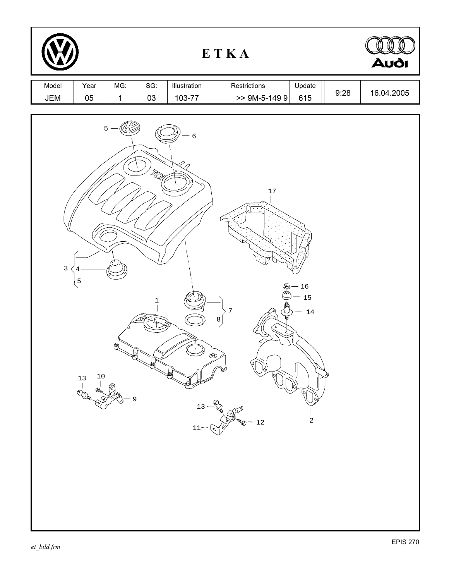| ETKA         |                                             |                     |             |                        |                                                                    | Audi                                         |      |            |
|--------------|---------------------------------------------|---------------------|-------------|------------------------|--------------------------------------------------------------------|----------------------------------------------|------|------------|
| Model<br>JEM | Year<br>05                                  | MG:<br>$\mathbf{1}$ | SG:<br>03   | Illustration<br>103-77 | Restrictions<br>$> 9M-5-1499$                                      | Update<br>615                                | 9:28 | 16.04.2005 |
| $\mathbf{3}$ | 4<br>$\overline{5}$<br>10<br>$\frac{13}{1}$ | 5<br>9              | $\mathbf 1$ | $\overline{6}$<br>11   | $17\,$<br>⊛<br>$\sqrt{ }$<br>8<br>అ<br>$13 - 8$<br>$-12$<br>$\sim$ | $-16$<br>15<br>14<br>$\overline{\mathbf{c}}$ |      |            |